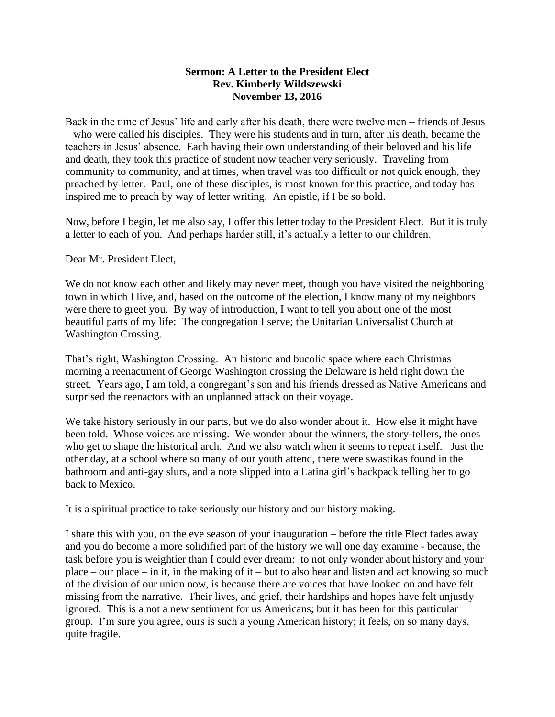## **Sermon: A Letter to the President Elect Rev. Kimberly Wildszewski November 13, 2016**

Back in the time of Jesus' life and early after his death, there were twelve men – friends of Jesus – who were called his disciples. They were his students and in turn, after his death, became the teachers in Jesus' absence. Each having their own understanding of their beloved and his life and death, they took this practice of student now teacher very seriously. Traveling from community to community, and at times, when travel was too difficult or not quick enough, they preached by letter. Paul, one of these disciples, is most known for this practice, and today has inspired me to preach by way of letter writing. An epistle, if I be so bold.

Now, before I begin, let me also say, I offer this letter today to the President Elect. But it is truly a letter to each of you. And perhaps harder still, it's actually a letter to our children.

Dear Mr. President Elect,

We do not know each other and likely may never meet, though you have visited the neighboring town in which I live, and, based on the outcome of the election, I know many of my neighbors were there to greet you. By way of introduction, I want to tell you about one of the most beautiful parts of my life: The congregation I serve; the Unitarian Universalist Church at Washington Crossing.

That's right, Washington Crossing. An historic and bucolic space where each Christmas morning a reenactment of George Washington crossing the Delaware is held right down the street. Years ago, I am told, a congregant's son and his friends dressed as Native Americans and surprised the reenactors with an unplanned attack on their voyage.

We take history seriously in our parts, but we do also wonder about it. How else it might have been told. Whose voices are missing. We wonder about the winners, the story-tellers, the ones who get to shape the historical arch. And we also watch when it seems to repeat itself. Just the other day, at a school where so many of our youth attend, there were swastikas found in the bathroom and anti-gay slurs, and a note slipped into a Latina girl's backpack telling her to go back to Mexico.

It is a spiritual practice to take seriously our history and our history making.

I share this with you, on the eve season of your inauguration – before the title Elect fades away and you do become a more solidified part of the history we will one day examine - because, the task before you is weightier than I could ever dream: to not only wonder about history and your place – our place – in it, in the making of it – but to also hear and listen and act knowing so much of the division of our union now, is because there are voices that have looked on and have felt missing from the narrative. Their lives, and grief, their hardships and hopes have felt unjustly ignored. This is a not a new sentiment for us Americans; but it has been for this particular group. I'm sure you agree, ours is such a young American history; it feels, on so many days, quite fragile.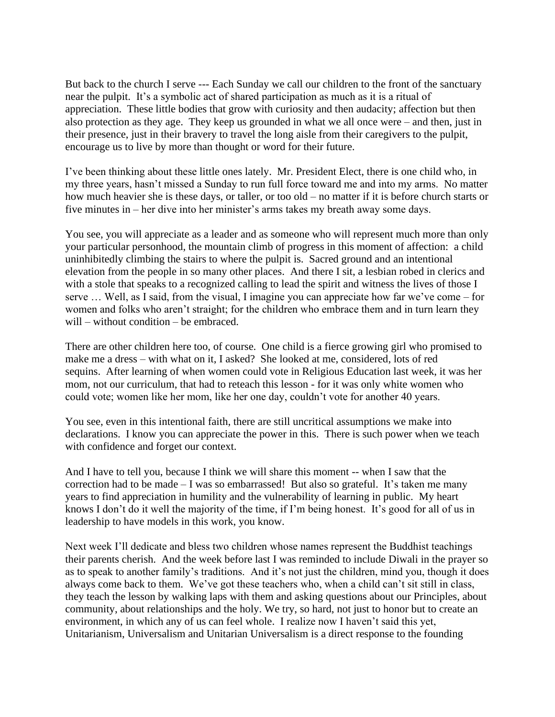But back to the church I serve --- Each Sunday we call our children to the front of the sanctuary near the pulpit. It's a symbolic act of shared participation as much as it is a ritual of appreciation. These little bodies that grow with curiosity and then audacity; affection but then also protection as they age. They keep us grounded in what we all once were – and then, just in their presence, just in their bravery to travel the long aisle from their caregivers to the pulpit, encourage us to live by more than thought or word for their future.

I've been thinking about these little ones lately. Mr. President Elect, there is one child who, in my three years, hasn't missed a Sunday to run full force toward me and into my arms. No matter how much heavier she is these days, or taller, or too old – no matter if it is before church starts or five minutes in – her dive into her minister's arms takes my breath away some days.

You see, you will appreciate as a leader and as someone who will represent much more than only your particular personhood, the mountain climb of progress in this moment of affection: a child uninhibitedly climbing the stairs to where the pulpit is. Sacred ground and an intentional elevation from the people in so many other places. And there I sit, a lesbian robed in clerics and with a stole that speaks to a recognized calling to lead the spirit and witness the lives of those I serve … Well, as I said, from the visual, I imagine you can appreciate how far we've come – for women and folks who aren't straight; for the children who embrace them and in turn learn they will – without condition – be embraced.

There are other children here too, of course. One child is a fierce growing girl who promised to make me a dress – with what on it, I asked? She looked at me, considered, lots of red sequins. After learning of when women could vote in Religious Education last week, it was her mom, not our curriculum, that had to reteach this lesson - for it was only white women who could vote; women like her mom, like her one day, couldn't vote for another 40 years.

You see, even in this intentional faith, there are still uncritical assumptions we make into declarations. I know you can appreciate the power in this. There is such power when we teach with confidence and forget our context.

And I have to tell you, because I think we will share this moment -- when I saw that the correction had to be made  $- I$  was so embarrassed! But also so grateful. It's taken me many years to find appreciation in humility and the vulnerability of learning in public. My heart knows I don't do it well the majority of the time, if I'm being honest. It's good for all of us in leadership to have models in this work, you know.

Next week I'll dedicate and bless two children whose names represent the Buddhist teachings their parents cherish. And the week before last I was reminded to include Diwali in the prayer so as to speak to another family's traditions. And it's not just the children, mind you, though it does always come back to them. We've got these teachers who, when a child can't sit still in class, they teach the lesson by walking laps with them and asking questions about our Principles, about community, about relationships and the holy. We try, so hard, not just to honor but to create an environment, in which any of us can feel whole. I realize now I haven't said this yet, Unitarianism, Universalism and Unitarian Universalism is a direct response to the founding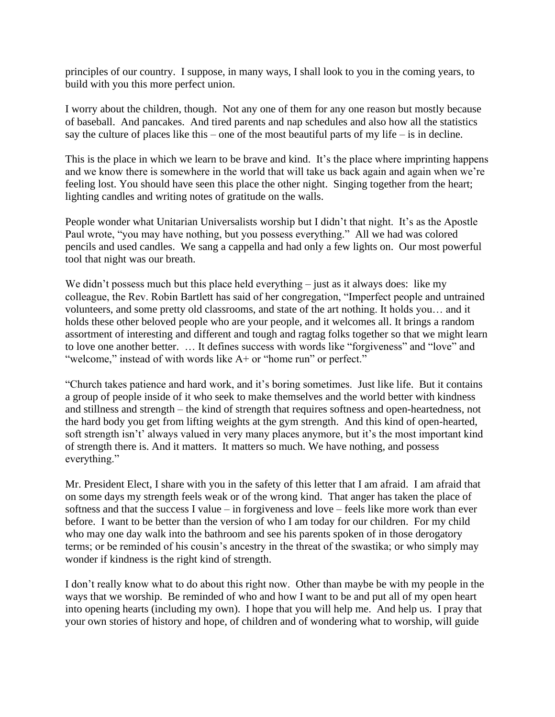principles of our country. I suppose, in many ways, I shall look to you in the coming years, to build with you this more perfect union.

I worry about the children, though. Not any one of them for any one reason but mostly because of baseball. And pancakes. And tired parents and nap schedules and also how all the statistics say the culture of places like this – one of the most beautiful parts of my life – is in decline.

This is the place in which we learn to be brave and kind. It's the place where imprinting happens and we know there is somewhere in the world that will take us back again and again when we're feeling lost. You should have seen this place the other night. Singing together from the heart; lighting candles and writing notes of gratitude on the walls.

People wonder what Unitarian Universalists worship but I didn't that night. It's as the Apostle Paul wrote, "you may have nothing, but you possess everything." All we had was colored pencils and used candles. We sang a cappella and had only a few lights on. Our most powerful tool that night was our breath.

We didn't possess much but this place held everything  $-$  just as it always does: like my colleague, the Rev. Robin Bartlett has said of her congregation, "Imperfect people and untrained volunteers, and some pretty old classrooms, and state of the art nothing. It holds you… and it holds these other beloved people who are your people, and it welcomes all. It brings a random assortment of interesting and different and tough and ragtag folks together so that we might learn to love one another better. … It defines success with words like "forgiveness" and "love" and "welcome," instead of with words like A+ or "home run" or perfect."

"Church takes patience and hard work, and it's boring sometimes. Just like life. But it contains a group of people inside of it who seek to make themselves and the world better with kindness and stillness and strength – the kind of strength that requires softness and open-heartedness, not the hard body you get from lifting weights at the gym strength. And this kind of open-hearted, soft strength isn't' always valued in very many places anymore, but it's the most important kind of strength there is. And it matters. It matters so much. We have nothing, and possess everything."

Mr. President Elect, I share with you in the safety of this letter that I am afraid. I am afraid that on some days my strength feels weak or of the wrong kind. That anger has taken the place of softness and that the success I value – in forgiveness and love – feels like more work than ever before. I want to be better than the version of who I am today for our children. For my child who may one day walk into the bathroom and see his parents spoken of in those derogatory terms; or be reminded of his cousin's ancestry in the threat of the swastika; or who simply may wonder if kindness is the right kind of strength.

I don't really know what to do about this right now. Other than maybe be with my people in the ways that we worship. Be reminded of who and how I want to be and put all of my open heart into opening hearts (including my own). I hope that you will help me. And help us. I pray that your own stories of history and hope, of children and of wondering what to worship, will guide